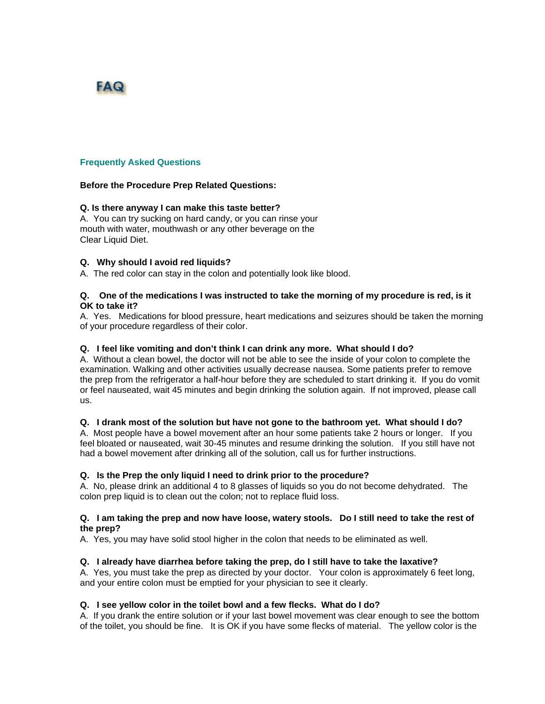# FAQ

#### **Frequently Asked Questions**

#### **Before the Procedure Prep Related Questions:**

## **Q. Is there anyway I can make this taste better?**

A. You can try sucking on hard candy, or you can rinse your mouth with water, mouthwash or any other beverage on the Clear Liquid Diet.

## **Q. Why should I avoid red liquids?**

A. The red color can stay in the colon and potentially look like blood.

#### **Q. One of the medications I was instructed to take the morning of my procedure is red, is it OK to take it?**

A. Yes. Medications for blood pressure, heart medications and seizures should be taken the morning of your procedure regardless of their color.

#### **Q. I feel like vomiting and don't think I can drink any more. What should I do?**

A. Without a clean bowel, the doctor will not be able to see the inside of your colon to complete the examination. Walking and other activities usually decrease nausea. Some patients prefer to remove the prep from the refrigerator a half-hour before they are scheduled to start drinking it. If you do vomit or feel nauseated, wait 45 minutes and begin drinking the solution again. If not improved, please call us.

#### **Q. I drank most of the solution but have not gone to the bathroom yet. What should I do?**

A. Most people have a bowel movement after an hour some patients take 2 hours or longer. If you feel bloated or nauseated, wait 30-45 minutes and resume drinking the solution. If you still have not had a bowel movement after drinking all of the solution, call us for further instructions.

#### **Q. Is the Prep the only liquid I need to drink prior to the procedure?**

A. No, please drink an additional 4 to 8 glasses of liquids so you do not become dehydrated. The colon prep liquid is to clean out the colon; not to replace fluid loss.

#### **Q. I am taking the prep and now have loose, watery stools. Do I still need to take the rest of the prep?**

A. Yes, you may have solid stool higher in the colon that needs to be eliminated as well.

#### **Q. I already have diarrhea before taking the prep, do I still have to take the laxative?**

A. Yes, you must take the prep as directed by your doctor. Your colon is approximately 6 feet long, and your entire colon must be emptied for your physician to see it clearly.

#### **Q. I see yellow color in the toilet bowl and a few flecks. What do I do?**

A. If you drank the entire solution or if your last bowel movement was clear enough to see the bottom of the toilet, you should be fine. It is OK if you have some flecks of material. The yellow color is the